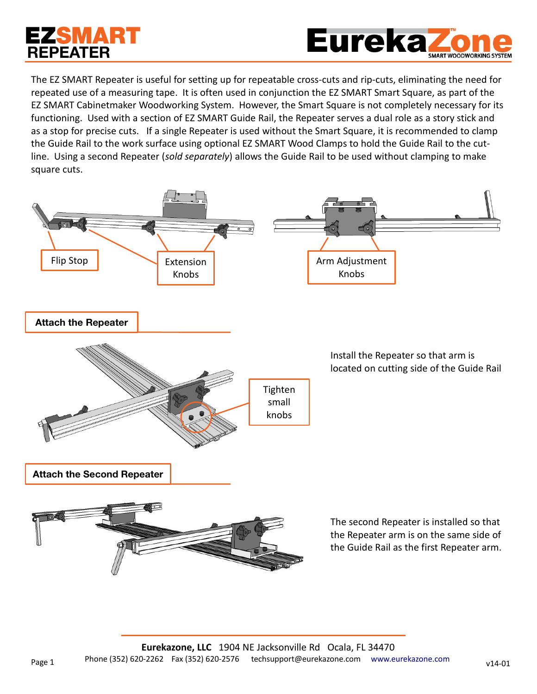## EZSMART **REPEATER**



The EZ SMART Repeater is useful for setting up for repeatable cross-cuts and rip-cuts, eliminating the need for repeated use of a measuring tape. It is often used in conjunction the EZ SMART Smart Square, as part of the EZ SMART Cabinetmaker Woodworking System. However, the Smart Square is not completely necessary for its functioning. Used with a section of EZ SMART Guide Rail, the Repeater serves a dual role as a story stick and as a stop for precise cuts. If a single Repeater is used without the Smart Square, it is recommended to clamp the Guide Rail to the work surface using optional EZ SMART Wood Clamps to hold the Guide Rail to the cutline. Using a second Repeater (*sold separately*) allows the Guide Rail to be used without clamping to make square cuts.